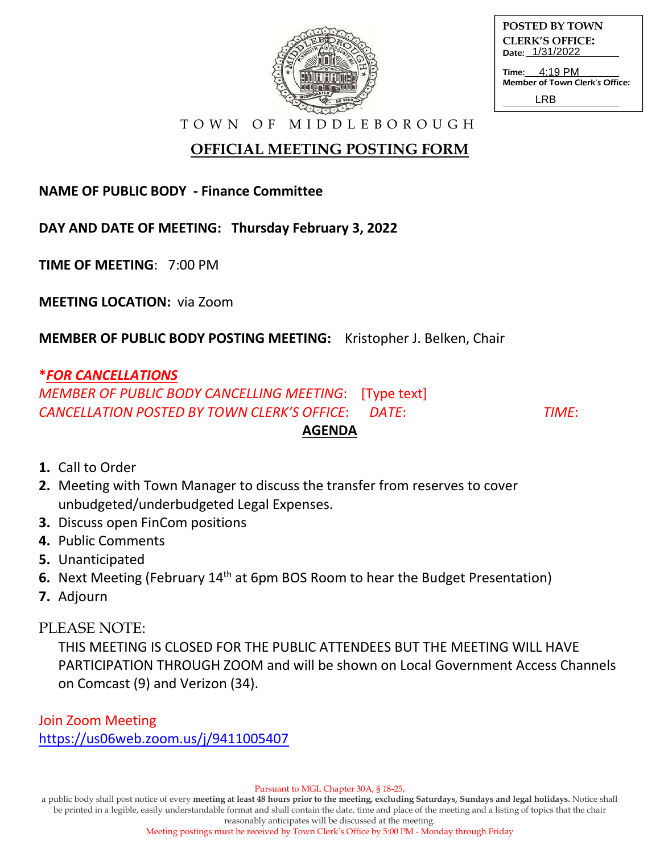

| <b>POSTED BY TOWN</b>  |
|------------------------|
| <b>CLERK'S OFFICE:</b> |
| Date: 1/31/2022        |
|                        |

Time: Member of Town Clerk's Office: 4:19 PM LRB

T O W N O F M I D D L E B O R O U G H

# **OFFICIAL MEETING POSTING FORM**

#### **NAME OF PUBLIC BODY - Finance Committee**

**DAY AND DATE OF MEETING: Thursday February 3, 2022**

**TIME OF MEETING**: 7:00 PM

**MEETING LOCATION:** via Zoom

**MEMBER OF PUBLIC BODY POSTING MEETING:** Kristopher J. Belken, Chair

#### **\****FOR CANCELLATIONS*

*MEMBER OF PUBLIC BODY CANCELLING MEETING*: [Type text] *CANCELLATION POSTED BY TOWN CLERK'S OFFICE*: *DATE*: *TIME*:

## **1.** Call to Order

- **2.** Meeting with Town Manager to discuss the transfer from reserves to cover unbudgeted/underbudgeted Legal Expenses.
- **3.** Discuss open FinCom positions
- **4.** Public Comments
- **5.** Unanticipated
- **6.** Next Meeting (February 14<sup>th</sup> at 6pm BOS Room to hear the Budget Presentation)
- **7.** Adjourn

### PLEASE NOTE:

THIS MEETING IS CLOSED FOR THE PUBLIC ATTENDEES BUT THE MEETING WILL HAVE PARTICIPATION THROUGH ZOOM and will be shown on Local Government Access Channels on Comcast (9) and Verizon (34).

**AGENDA** 

Join Zoom Meeting https://us06web.zoom.us/j/9411005407

Pursuant to MGL Chapter 30A, § 18-25,

a public body shall post notice of every **meeting at least 48 hours prior to the meeting, excluding Saturdays, Sundays and legal holidays.** Notice shall be printed in a legible, easily understandable format and shall contain the date, time and place of the meeting and a listing of topics that the chair reasonably anticipates will be discussed at the meeting.